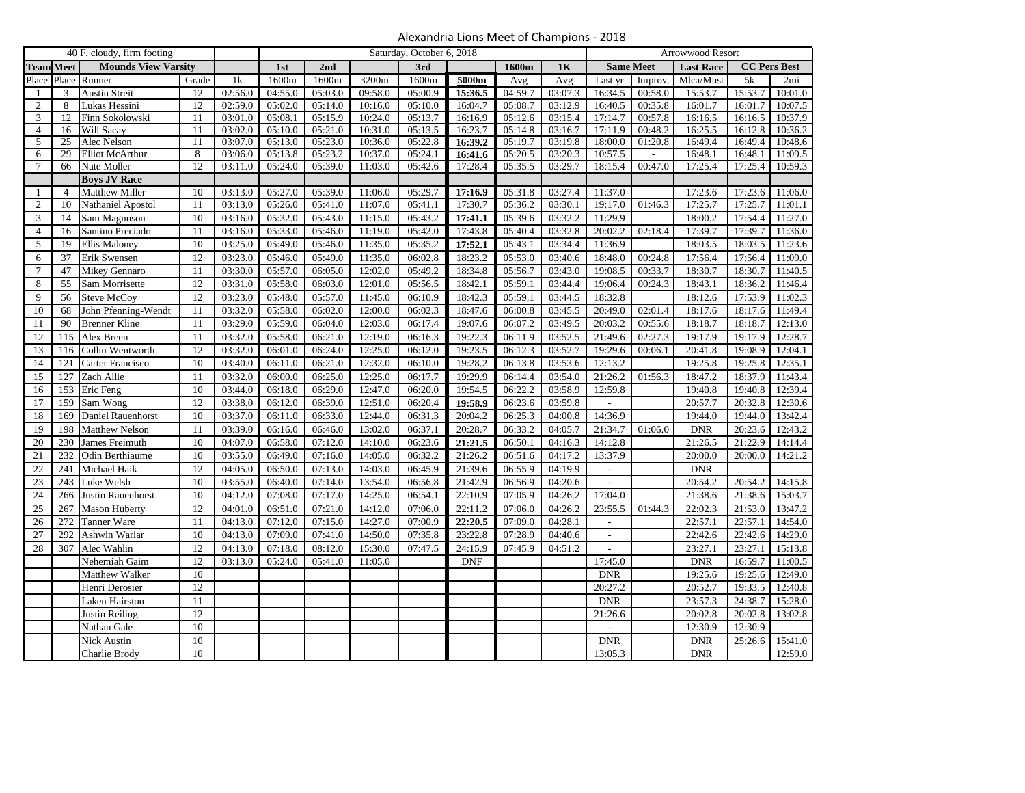| Alexandria Lions Meet of Champions - 2018 |  |  |  |  |  |
|-------------------------------------------|--|--|--|--|--|
|-------------------------------------------|--|--|--|--|--|

|                 | 40 F, cloudy, firm footing |                            |                 | Saturday, October 6, 2018 |         |         |         | Arrowwood Resort     |            |         |         |                             |         |                  |                     |                      |
|-----------------|----------------------------|----------------------------|-----------------|---------------------------|---------|---------|---------|----------------------|------------|---------|---------|-----------------------------|---------|------------------|---------------------|----------------------|
|                 | <b>Team Meet</b>           | <b>Mounds View Varsity</b> |                 |                           | 1st     | 2nd     |         | 3rd                  |            | 1600m   | 1K      | <b>Same Meet</b>            |         | <b>Last Race</b> | <b>CC Pers Best</b> |                      |
| Place           | Place                      | Runner                     | Grade           | 1k                        | 1600m   | 1600m   | 3200m   | 1600m                | 5000m      | Avg     | Avg     | Last yr                     | Improv. | Mlca/Must        | 5k                  | 2mi                  |
| $\mathbf{1}$    | 3                          | <b>Austin Streit</b>       | 12              | 02:56.0                   | 04:55.0 | 05:03.0 | 09:58.0 | 05:00.9              | 15:36.5    | 04:59.7 | 03:07.3 | 16:34.5                     | 00:58.0 | 15:53.7          | 15:53.7             | 10:01.0              |
| 2               | 8                          | Lukas Hessini              | 12              | 02:59.0                   | 05:02.0 | 05:14.0 | 10:16.0 | 05:10.0              | 16:04.7    | 05:08.7 | 03:12.9 | 16:40.5                     | 00:35.8 | 16:01.7          | 16:01.7             | 10:07.5              |
| 3               | 12                         | Finn Sokolowski            | 11              | 03:01.0                   | 05:08.1 | 05:15.9 | 10:24.0 | 05:13.7              | 16:16.9    | 05:12.6 | 03:15.4 | 17:14.7                     | 00:57.8 | 16:16.5          | 16:16.5             | 10:37.9              |
| $\overline{4}$  | 16                         | Will Sacay                 | 11              | 03:02.0                   | 05:10.0 | 05:21.0 | 10:31.0 | 05:13.5              | 16:23.7    | 05:14.8 | 03:16.7 | 17:11.9                     | 00:48.2 | 16:25.5          | 16:12.8             | 10:36.2              |
| 5               | 25                         | Alec Nelson                | 11              | 03:07.0                   | 05:13.0 | 05:23.0 | 10:36.0 | 05:22.8              | 16:39.2    | 05:19.7 | 03:19.8 | 18:00.0                     | 01:20.8 | 16:49.4          | 16:49.4             | 10:48.6              |
| 6               | 29                         | <b>Elliot McArthur</b>     | 8               | 03:06.0                   | 05:13.8 | 05:23.2 | 10:37.0 | 05:24.1              | 16:41.6    | 05:20.5 | 03:20.3 | 10:57.5                     |         | 16:48.1          | 16:48.1             | 11:09.5              |
| 7               | 66                         | Nate Moller                | 12              | 03:11.0                   | 05:24.0 | 05:39.0 | 11:03.0 | 05:42.6              | 17:28.4    | 05:35.5 | 03:29.7 | 18:15.4                     | 00:47.0 | 17:25.4          | 17:25.4             | 10:59.3              |
|                 |                            | <b>Boys JV Race</b>        |                 |                           |         |         |         |                      |            |         |         |                             |         |                  |                     |                      |
| -1              | $\overline{4}$             | <b>Matthew Miller</b>      | 10              | 03:13.0                   | 05:27.0 | 05:39.0 | 11:06.0 | 05:29.7              | 17:16.9    | 05:31.8 | 03:27.4 | 11:37.0                     |         | 17:23.6          | 17:23.6             | 11:06.0              |
| $\sqrt{2}$      | 10                         | Nathaniel Apostol          | 11              | 03:13.0                   | 05:26.0 | 05:41.0 | 11:07.0 | 05:41.1              | 17:30.7    | 05:36.2 | 03:30.1 | 19:17.0                     | 01:46.3 | 17:25.7          | 17:25.7             | 11:01.1              |
| 3               | 14                         | Sam Magnuson               | 10              | 03:16.0                   | 05:32.0 | 05:43.0 | 11:15.0 | 05:43.2              | 17:41.1    | 05:39.6 | 03:32.2 | 11:29.9                     |         | 18:00.2          | 17:54.4             | 11:27.0              |
| $\overline{4}$  | 16                         | Santino Preciado           | 11              | 03:16.0                   | 05:33.0 | 05:46.0 | 11:19.0 | 05:42.0              | 17:43.8    | 05:40.4 | 03:32.8 | 20:02.2                     | 02:18.4 | 17:39.7          | 17:39.7             | 11:36.0              |
| 5               | 19                         | Ellis Maloney              | 10              | 03:25.0                   | 05:49.0 | 05:46.0 | 11:35.0 | 05:35.2              | 17:52.1    | 05:43.1 | 03:34.4 | 11:36.9                     |         | 18:03.5          | 18:03.5             | 11:23.6              |
| 6               | 37                         | Erik Swensen               | $\overline{12}$ | 03:23.0                   | 05:46.0 | 05:49.0 | 11:35.0 | 06:02.8              | 18:23.2    | 05:53.0 | 03:40.6 | 18:48.0                     | 00:24.8 | 17:56.4          | 17:56.4             | 11:09.0              |
| $7\phantom{.0}$ | 47                         | Mikey Gennaro              | 11              | 03:30.0                   | 05:57.0 | 06:05.0 | 12:02.0 | 05:49.2              | 18:34.8    | 05:56.7 | 03:43.0 | 19:08.5                     | 00:33.7 | 18:30.7          | 18:30.7             | 11:40.5              |
| 8               | 55                         | Sam Morrisette             | 12              | 03:31.0                   | 05:58.0 | 06:03.0 | 12:01.0 | 05:56.5              | 18:42.1    | 05:59.1 | 03:44.4 | 19:06.4                     | 00:24.3 | 18:43.1          | 18:36.2             | 11:46.4              |
| 9               | 56                         | <b>Steve McCoy</b>         | 12              | 03:23.0                   | 05:48.0 | 05:57.0 | 11:45.0 | $\overline{06:10.9}$ | 18:42.3    | 05:59.1 | 03:44.5 | 18:32.8                     |         | 18:12.6          | 17:53.9             | $\overline{11:02.3}$ |
| 10              | 68                         | John Pfenning-Wendt        | 11              | 03:32.0                   | 05:58.0 | 06:02.0 | 12:00.0 | 06:02.3              | 18:47.6    | 06:00.8 | 03:45.5 | 20:49.0                     | 02:01.4 | 18:17.6          | 18:17.6             | 11:49.4              |
| 11              | 90                         | <b>Brenner Kline</b>       | 11              | 03:29.0                   | 05:59.0 | 06:04.0 | 12:03.0 | 06:17.4              | 19:07.6    | 06:07.2 | 03:49.5 | 20:03.2                     | 00:55.6 | 18:18.7          | 18:18.7             | 12:13.0              |
| 12              | 115                        | Alex Breen                 | 11              | 03:32.0                   | 05:58.0 | 06:21.0 | 12:19.0 | 06:16.3              | 19:22.3    | 06:11.9 | 03:52.5 | 21:49.6                     | 02:27.3 | 19:17.9          | 19:17.9             | 12:28.7              |
| 13              | 116                        | Collin Wentworth           | $\overline{12}$ | 03:32.0                   | 06:01.0 | 06:24.0 | 12:25.0 | 06:12.0              | 19:23.5    | 06:12.3 | 03:52.7 | 19:29.6                     | 00:06.1 | 20:41.8          | 19:08.9             | 12:04.1              |
| 14              | 121                        | Carter Francisco           | 10              | 03:40.0                   | 06:11.0 | 06:21.0 | 12:32.0 | 06:10.0              | 19:28.2    | 06:13.8 | 03:53.6 | 12:13.2                     |         | 19:25.8          | 19:25.8             | 12:35.1              |
| 15              | 127                        | Zach Allie                 | $\overline{11}$ | 03:32.0                   | 06:00.0 | 06:25.0 | 12:25.0 | 06:17.7              | 19:29.9    | 06:14.4 | 03:54.0 | 21:26.2                     | 01:56.3 | 18:47.2          | 18:37.9             | 11:43.4              |
| 16              | 153                        | Eric Feng                  | 10              | 03:44.0                   | 06:18.0 | 06:29.0 | 12:47.0 | 06:20.0              | 19:54.5    | 06:22.2 | 03:58.9 | 12:59.8                     |         | 19:40.8          | 19:40.8             | 12:39.4              |
| 17              | 159                        | Sam Wong                   | $\overline{12}$ | 03:38.0                   | 06:12.0 | 06:39.0 | 12:51.0 | 06:20.4              | 19:58.9    | 06:23.6 | 03:59.8 |                             |         | 20:57.7          | 20:32.8             | 12:30.6              |
| 18              | 169                        | Daniel Rauenhorst          | 10              | 03:37.0                   | 06:11.0 | 06:33.0 | 12:44.0 | 06:31.3              | 20:04.2    | 06:25.3 | 04:00.8 | 14:36.9                     |         | 19:44.0          | 19:44.0             | 13:42.4              |
| 19              | 198                        | Matthew Nelson             | 11              | 03:39.0                   | 06:16.0 | 06:46.0 | 13:02.0 | 06:37.1              | 20:28.7    | 06:33.2 | 04:05.7 | 21:34.7                     | 01:06.0 | <b>DNR</b>       | 20:23.6             | 12:43.2              |
| 20              | 230                        | James Freimuth             | 10              | 04:07.0                   | 06:58.0 | 07:12.0 | 14:10.0 | 06:23.6              | 21:21.5    | 06:50.1 | 04:16.3 | 14:12.8                     |         | 21:26.5          | 21:22.9             | 14:14.4              |
| 21              | 232                        | Odin Berthiaume            | 10              | 03:55.0                   | 06:49.0 | 07:16.0 | 14:05.0 | 06:32.2              | 21:26.2    | 06:51.6 | 04:17.2 | 13:37.9                     |         | 20:00.0          | 20:00.0             | 14:21.2              |
| 22              | 241                        | Michael Haik               | $\overline{12}$ | 04:05.0                   | 06:50.0 | 07:13.0 | 14:03.0 | 06:45.9              | 21:39.6    | 06:55.9 | 04:19.9 | $\mathcal{L}_{\mathcal{A}}$ |         | <b>DNR</b>       |                     |                      |
| 23              | 243                        | Luke Welsh                 | 10              | 03:55.0                   | 06:40.0 | 07:14.0 | 13:54.0 | 06:56.8              | 21:42.9    | 06:56.9 | 04:20.6 |                             |         | 20:54.2          | 20:54.2             | 14:15.8              |
| 24              | 266                        | Justin Rauenhorst          | 10              | 04:12.0                   | 07:08.0 | 07:17.0 | 14:25.0 | 06:54.1              | 22:10.9    | 07:05.9 | 04:26.2 | 17:04.0                     |         | 21:38.6          | 21:38.6             | 15:03.7              |
| 25              | 267                        | Mason Huberty              | $\overline{12}$ | 04:01.0                   | 06:51.0 | 07:21.0 | 14:12.0 | 07:06.0              | 22:11.2    | 07:06.0 | 04:26.2 | 23:55.5                     | 01:44.3 | 22:02.3          | 21:53.0             | 13:47.2              |
| 26              | 272                        | Tanner Ware                | 11              | 04:13.0                   | 07:12.0 | 07:15.0 | 14:27.0 | 07:00.9              | 22:20.5    | 07:09.0 | 04:28.1 | ٠                           |         | 22:57.1          | 22:57.1             | 14:54.0              |
| 27              | 292                        | Ashwin Wariar              | 10              | 04:13.0                   | 07:09.0 | 07:41.0 | 14:50.0 | 07:35.8              | 23:22.8    | 07:28.9 | 04:40.6 | $\blacksquare$              |         | 22:42.6          | 22:42.6             | 14:29.0              |
| 28              | 307                        | Alec Wahlin                | 12              | 04:13.0                   | 07:18.0 | 08:12.0 | 15:30.0 | 07:47.5              | 24:15.9    | 07:45.9 | 04:51.2 |                             |         | 23:27.1          | 23:27.1             | 15:13.8              |
|                 |                            | Nehemiah Gaim              | $\overline{12}$ | 03:13.0                   | 05:24.0 | 05:41.0 | 11:05.0 |                      | <b>DNF</b> |         |         | 17:45.0                     |         | <b>DNR</b>       | 16:59.7             | 11:00.5              |
|                 |                            | Matthew Walker             | 10              |                           |         |         |         |                      |            |         |         | <b>DNR</b>                  |         | 19:25.6          | 19:25.6             | 12:49.0              |
|                 |                            | Henri Derosier             | 12              |                           |         |         |         |                      |            |         |         | 20:27.2                     |         | 20:52.7          | 19:33.5             | 12:40.8              |
|                 |                            | Laken Hairston             | 11              |                           |         |         |         |                      |            |         |         | <b>DNR</b>                  |         | 23:57.3          | 24:38.7             | 15:28.0              |
|                 |                            | <b>Justin Reiling</b>      | 12              |                           |         |         |         |                      |            |         |         | 21:26.6                     |         | 20:02.8          | 20:02.8             | 13:02.8              |
|                 |                            | Nathan Gale                | 10              |                           |         |         |         |                      |            |         |         |                             |         | 12:30.9          | 12:30.9             |                      |
|                 |                            |                            | 10              |                           |         |         |         |                      |            |         |         | <b>DNR</b>                  |         |                  |                     | 15:41.0              |
|                 |                            | Nick Austin                | 10              |                           |         |         |         |                      |            |         |         |                             |         | <b>DNR</b>       | 25:26.6             |                      |
|                 |                            | Charlie Brody              |                 |                           |         |         |         |                      |            |         |         | 13:05.3                     |         | <b>DNR</b>       |                     | 12:59.0              |